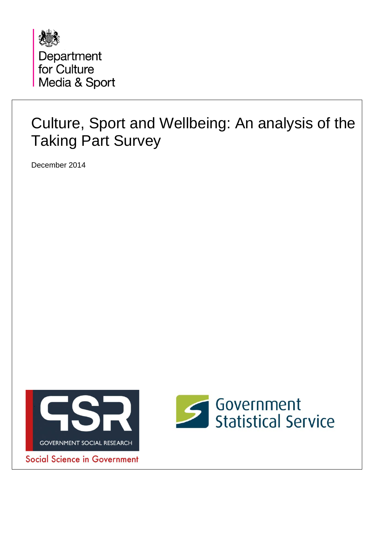

## Culture, Sport and Wellbeing: An analysis of the Taking Part Survey

December 2014



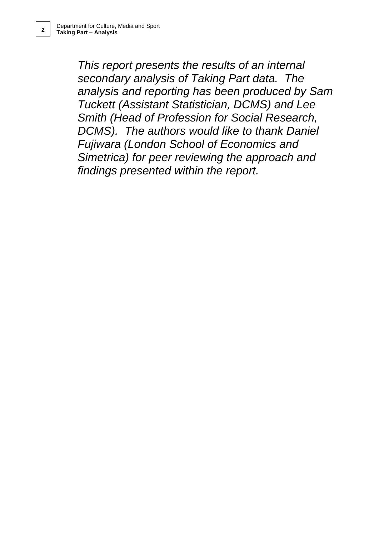*This report presents the results of an internal secondary analysis of Taking Part data. The analysis and reporting has been produced by Sam Tuckett (Assistant Statistician, DCMS) and Lee Smith (Head of Profession for Social Research, DCMS). The authors would like to thank Daniel Fujiwara (London School of Economics and Simetrica) for peer reviewing the approach and findings presented within the report.*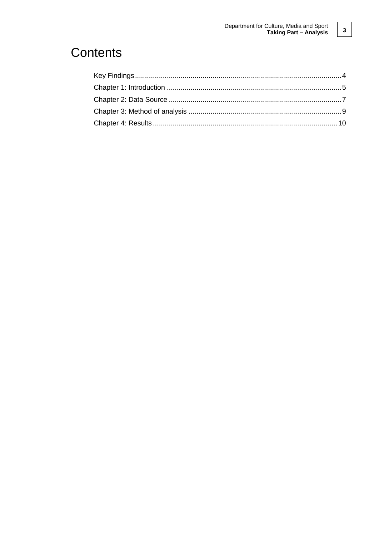### Contents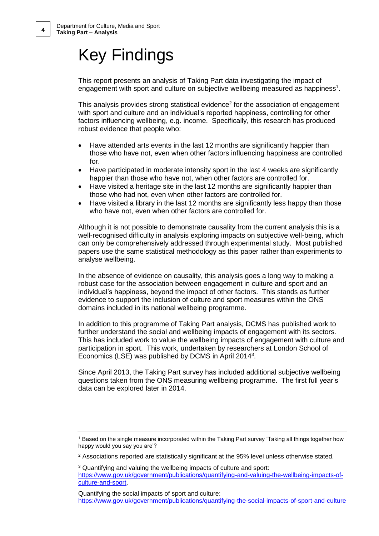## Key Findings

This report presents an analysis of Taking Part data investigating the impact of engagement with sport and culture on subjective wellbeing measured as happiness<sup>1</sup>.

This analysis provides strong statistical evidence $2$  for the association of engagement with sport and culture and an individual's reported happiness, controlling for other factors influencing wellbeing, e.g. income. Specifically, this research has produced robust evidence that people who:

- Have attended arts events in the last 12 months are significantly happier than those who have not, even when other factors influencing happiness are controlled for.
- Have participated in moderate intensity sport in the last 4 weeks are significantly happier than those who have not, when other factors are controlled for.
- Have visited a heritage site in the last 12 months are significantly happier than those who had not, even when other factors are controlled for.
- Have visited a library in the last 12 months are significantly less happy than those who have not, even when other factors are controlled for.

Although it is not possible to demonstrate causality from the current analysis this is a well-recognised difficulty in analysis exploring impacts on subjective well-being, which can only be comprehensively addressed through experimental study. Most published papers use the same statistical methodology as this paper rather than experiments to analyse wellbeing.

In the absence of evidence on causality, this analysis goes a long way to making a robust case for the association between engagement in culture and sport and an individual's happiness, beyond the impact of other factors. This stands as further evidence to support the inclusion of culture and sport measures within the ONS domains included in its national wellbeing programme.

In addition to this programme of Taking Part analysis, DCMS has published work to further understand the social and wellbeing impacts of engagement with its sectors. This has included work to value the wellbeing impacts of engagement with culture and participation in sport. This work, undertaken by researchers at London School of Economics (LSE) was published by DCMS in April 2014<sup>3</sup>.

Since April 2013, the Taking Part survey has included additional subjective wellbeing questions taken from the ONS measuring wellbeing programme. The first full year's data can be explored later in 2014.

Quantifying the social impacts of sport and culture: <https://www.gov.uk/government/publications/quantifying-the-social-impacts-of-sport-and-culture>

<sup>1</sup> Based on the single measure incorporated within the Taking Part survey 'Taking all things together how happy would you say you are'?

 $2$  Associations reported are statistically significant at the 95% level unless otherwise stated.

<sup>3</sup> Quantifying and valuing the wellbeing impacts of culture and sport: [https://www.gov.uk/government/publications/quantifying-and-valuing-the-wellbeing-impacts-of](https://www.gov.uk/government/publications/quantifying-and-valuing-the-wellbeing-impacts-of-culture-and-sport)[culture-and-sport,](https://www.gov.uk/government/publications/quantifying-and-valuing-the-wellbeing-impacts-of-culture-and-sport)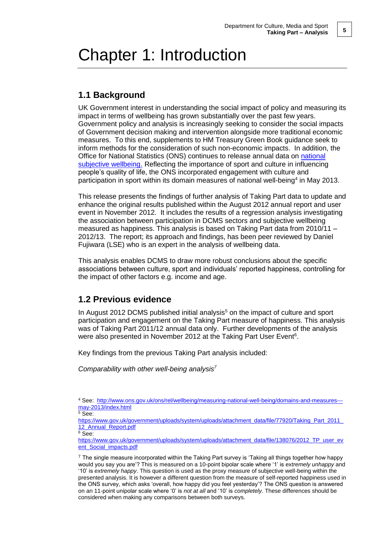## Chapter 1: Introduction

#### **1.1 Background**

UK Government interest in understanding the social impact of policy and measuring its impact in terms of wellbeing has grown substantially over the past few years. Government policy and analysis is increasingly seeking to consider the social impacts of Government decision making and intervention alongside more traditional economic measures. To this end, supplements to HM Treasury Green Book guidance seek to inform methods for the consideration of such non-economic impacts. In addition, the Office for National Statistics (ONS) continues to release annual data on national [subjective wellbeing.](http://www.ons.gov.uk/ons/guide-method/user-guidance/well-being/index.html) Reflecting the importance of sport and culture in influencing people's quality of life, the ONS incorporated engagement with culture and participation in sport within its domain measures of national well-being<sup>4</sup> in May 2013.

This release presents the findings of further analysis of Taking Part data to update and enhance the original results published within the August 2012 annual report and user event in November 2012. It includes the results of a regression analysis investigating the association between participation in DCMS sectors and subjective wellbeing measured as happiness. This analysis is based on Taking Part data from 2010/11 – 2012/13. The report; its approach and findings, has been peer reviewed by Daniel Fujiwara (LSE) who is an expert in the analysis of wellbeing data.

This analysis enables DCMS to draw more robust conclusions about the specific associations between culture, sport and individuals' reported happiness, controlling for the impact of other factors e.g. income and age.

#### **1.2 Previous evidence**

In August 2012 DCMS published initial analysis $<sup>5</sup>$  on the impact of culture and sport</sup> participation and engagement on the Taking Part measure of happiness. This analysis was of Taking Part 2011/12 annual data only. Further developments of the analysis were also presented in November 2012 at the Taking Part User Event<sup>6</sup>.

Key findings from the previous Taking Part analysis included:

*Comparability with other well-being analysis<sup>7</sup>*

 $5 \overline{\text{See}}$ :

[https://www.gov.uk/government/uploads/system/uploads/attachment\\_data/file/77920/Taking\\_Part\\_2011\\_](https://www.gov.uk/government/uploads/system/uploads/attachment_data/file/77920/Taking_Part_2011_12_Annual_Report.pdf) 12 Annual Report.pdf

 $6$  See:

[https://www.gov.uk/government/uploads/system/uploads/attachment\\_data/file/138076/2012\\_TP\\_user\\_ev](https://www.gov.uk/government/uploads/system/uploads/attachment_data/file/138076/2012_TP_user_event_Social_impacts.pdf) [ent\\_Social\\_impacts.pdf](https://www.gov.uk/government/uploads/system/uploads/attachment_data/file/138076/2012_TP_user_event_Social_impacts.pdf)

 $7$  The single measure incorporated within the Taking Part survey is 'Taking all things together how happy would you say you are'? This is measured on a 10-point bipolar scale where '1' is *extremely unhappy* and '10' is *extremely happy*. This question is used as the proxy measure of subjective well-being within the presented analysis. It is however a different question from the measure of self-reported happiness used in the ONS survey, which asks 'overall, how happy did you feel yesterday'? The ONS question is answered on an 11-point unipolar scale where '0' is *not at all* and '10' is *completely*. These differences should be considered when making any comparisons between both surveys.

<sup>4</sup> See: [http://www.ons.gov.uk/ons/rel/wellbeing/measuring-national-well-being/domains-and-measures--](http://www.ons.gov.uk/ons/rel/wellbeing/measuring-national-well-being/domains-and-measures---may-2013/index.html) [may-2013/index.html](http://www.ons.gov.uk/ons/rel/wellbeing/measuring-national-well-being/domains-and-measures---may-2013/index.html)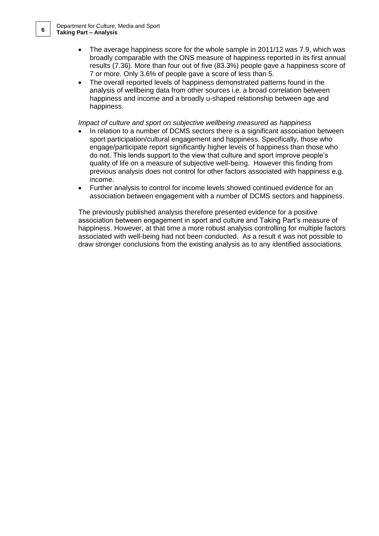- The average happiness score for the whole sample in 2011/12 was 7.9, which was broadly comparable with the ONS measure of happiness reported in its first annual results (7.36). More than four out of five (83.3%) people gave a happiness score of 7 or more. Only 3.6% of people gave a score of less than 5.
- The overall reported levels of happiness demonstrated patterns found in the analysis of wellbeing data from other sources i.e. a broad correlation between happiness and income and a broadly u-shaped relationship between age and happiness.

*Impact of culture and sport on subjective wellbeing measured as happiness*

- In relation to a number of DCMS sectors there is a significant association between sport participation/cultural engagement and happiness. Specifically, those who engage/participate report significantly higher levels of happiness than those who do not. This lends support to the view that culture and sport improve people's quality of life on a measure of subjective well-being. However this finding from previous analysis does not control for other factors associated with happiness e.g. income.
- Further analysis to control for income levels showed continued evidence for an association between engagement with a number of DCMS sectors and happiness.

The previously published analysis therefore presented evidence for a positive association between engagement in sport and culture and Taking Part's measure of happiness. However, at that time a more robust analysis controlling for multiple factors associated with well-being had not been conducted. As a result it was not possible to draw stronger conclusions from the existing analysis as to any identified associations.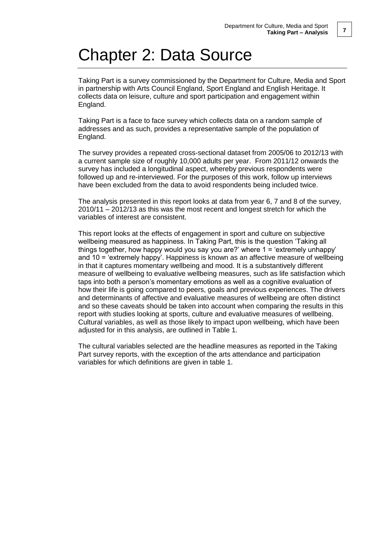## Chapter 2: Data Source

Taking Part is a survey commissioned by the Department for Culture, Media and Sport in partnership with Arts Council England, Sport England and English Heritage. It collects data on leisure, culture and sport participation and engagement within England.

Taking Part is a face to face survey which collects data on a random sample of addresses and as such, provides a representative sample of the population of England.

The survey provides a repeated cross-sectional dataset from 2005/06 to 2012/13 with a current sample size of roughly 10,000 adults per year. From 2011/12 onwards the survey has included a longitudinal aspect, whereby previous respondents were followed up and re-interviewed. For the purposes of this work, follow up interviews have been excluded from the data to avoid respondents being included twice.

The analysis presented in this report looks at data from year 6, 7 and 8 of the survey, 2010/11 – 2012/13 as this was the most recent and longest stretch for which the variables of interest are consistent.

This report looks at the effects of engagement in sport and culture on subjective wellbeing measured as happiness. In Taking Part, this is the question 'Taking all things together, how happy would you say you are?' where 1 = 'extremely unhappy' and 10 = 'extremely happy'. Happiness is known as an affective measure of wellbeing in that it captures momentary wellbeing and mood. It is a substantively different measure of wellbeing to evaluative wellbeing measures, such as life satisfaction which taps into both a person's momentary emotions as well as a cognitive evaluation of how their life is going compared to peers, goals and previous experiences. The drivers and determinants of affective and evaluative measures of wellbeing are often distinct and so these caveats should be taken into account when comparing the results in this report with studies looking at sports, culture and evaluative measures of wellbeing. Cultural variables, as well as those likely to impact upon wellbeing, which have been adjusted for in this analysis, are outlined in Table 1.

The cultural variables selected are the headline measures as reported in the Taking Part survey reports, with the exception of the arts attendance and participation variables for which definitions are given in table 1.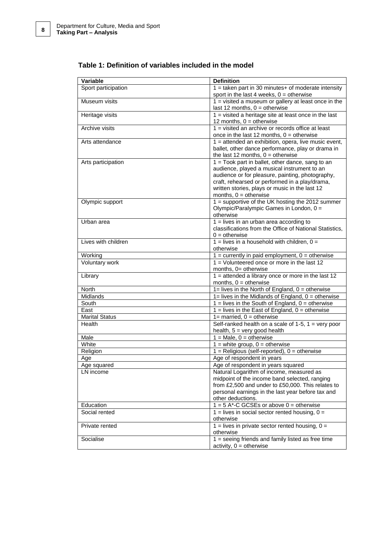| Variable                 | <b>Definition</b>                                                                                  |  |  |
|--------------------------|----------------------------------------------------------------------------------------------------|--|--|
| Sport participation      | $1 =$ taken part in 30 minutes+ of moderate intensity                                              |  |  |
|                          | sport in the last 4 weeks, $0 =$ otherwise                                                         |  |  |
| Museum visits            | $1 =$ visited a museum or gallery at least once in the                                             |  |  |
|                          | last 12 months, $0 =$ otherwise                                                                    |  |  |
| Heritage visits          | $1 =$ visited a heritage site at least once in the last                                            |  |  |
|                          | 12 months, $0 =$ otherwise                                                                         |  |  |
| Archive visits           | $1 =$ visited an archive or records office at least<br>once in the last 12 months, $0 =$ otherwise |  |  |
| Arts attendance          | 1 = attended an exhibition, opera, live music event,                                               |  |  |
|                          | ballet, other dance performance, play or drama in                                                  |  |  |
|                          | the last 12 months, $0 =$ otherwise                                                                |  |  |
| Arts participation       | 1 = Took part in ballet, other dance, sang to an                                                   |  |  |
|                          | audience, played a musical instrument to an                                                        |  |  |
|                          | audience or for pleasure, painting, photography,                                                   |  |  |
|                          | craft, rehearsed or performed in a play/drama,<br>written stories, plays or music in the last 12   |  |  |
|                          | months, $0 =$ otherwise                                                                            |  |  |
| Olympic support          | 1 = supportive of the UK hosting the 2012 summer                                                   |  |  |
|                          | Olympic/Paralympic Games in London, 0 =                                                            |  |  |
|                          | otherwise                                                                                          |  |  |
| Urban area               | $1 =$ lives in an urban area according to                                                          |  |  |
|                          | classifications from the Office of National Statistics,                                            |  |  |
|                          | $0 =$ otherwise                                                                                    |  |  |
| Lives with children      | $1 =$ lives in a household with children, $0 =$                                                    |  |  |
|                          | otherwise                                                                                          |  |  |
| Working                  | $1 =$ currently in paid employment, $0 =$ otherwise                                                |  |  |
| Voluntary work           | $1 =$ Volunteered once or more in the last 12                                                      |  |  |
| Library                  | months, 0= otherwise<br>$1 =$ attended a library once or more in the last 12                       |  |  |
|                          | months, $0 =$ otherwise                                                                            |  |  |
| North                    | $1 =$ lives in the North of England, $0 =$ otherwise                                               |  |  |
| Midlands                 | $1 =$ lives in the Midlands of England, $0 =$ otherwise                                            |  |  |
| South                    | $1 =$ lives in the South of England, $0 =$ otherwise                                               |  |  |
| East                     | $1 =$ lives in the East of England, $0 =$ otherwise                                                |  |  |
| <b>Marital Status</b>    | $1 =$ married, $0 =$ otherwise                                                                     |  |  |
| Health                   | Self-ranked health on a scale of $1-5$ , $1 =$ very poor                                           |  |  |
|                          | health, $5 = \text{very good health}$                                                              |  |  |
| Male                     | $1 = Male$ , $0 = otherwise$                                                                       |  |  |
| White                    | $1 =$ white group, $0 =$ otherwise                                                                 |  |  |
| Religion                 | $1 =$ Religious (self-reported), $0 =$ otherwise                                                   |  |  |
| Age                      | Age of respondent in years                                                                         |  |  |
| Age squared<br>LN income | Age of respondent in years squared<br>Natural Logarithm of income, measured as                     |  |  |
|                          | midpoint of the income band selected, ranging                                                      |  |  |
|                          | from £2,500 and under to £50,000. This relates to                                                  |  |  |
|                          | personal earnings in the last year before tax and                                                  |  |  |
|                          | other deductions.                                                                                  |  |  |
| Education                | $1 = 5$ A*-C GCSEs or above $0 =$ otherwise                                                        |  |  |
| Social rented            | $1 =$ lives in social sector rented housing, $0 =$                                                 |  |  |
|                          | otherwise                                                                                          |  |  |
| Private rented           | $1 =$ lives in private sector rented housing, $0 =$                                                |  |  |
|                          | otherwise                                                                                          |  |  |
| Socialise                | $1 =$ seeing friends and family listed as free time                                                |  |  |
|                          | $activity, 0 = otherwise$                                                                          |  |  |

#### **Table 1: Definition of variables included in the model**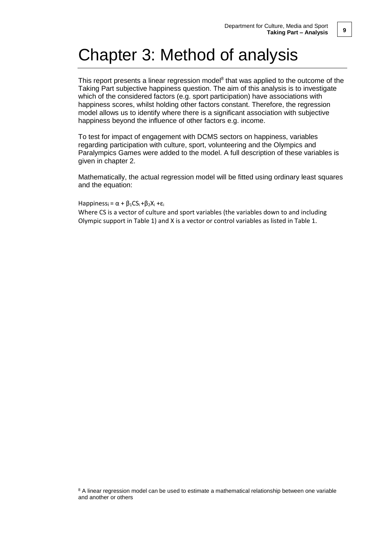## Chapter 3: Method of analysis

This report presents a linear regression model<sup>8</sup> that was applied to the outcome of the Taking Part subjective happiness question. The aim of this analysis is to investigate which of the considered factors (e.g. sport participation) have associations with happiness scores, whilst holding other factors constant. Therefore, the regression model allows us to identify where there is a significant association with subjective happiness beyond the influence of other factors e.g. income.

To test for impact of engagement with DCMS sectors on happiness, variables regarding participation with culture, sport, volunteering and the Olympics and Paralympics Games were added to the model. A full description of these variables is given in chapter 2.

Mathematically, the actual regression model will be fitted using ordinary least squares and the equation:

Happiness<sub>i</sub> =  $\alpha$  +  $\beta_1$ CS<sub>i</sub> +  $\beta_2$ X<sub>i</sub> +  $\varepsilon_i$ 

Where CS is a vector of culture and sport variables (the variables down to and including Olympic support in Table 1) and X is a vector or control variables as listed in Table 1.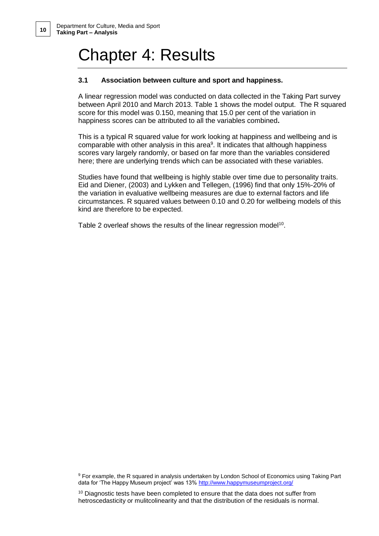## Chapter 4: Results

#### **3.1 Association between culture and sport and happiness.**

A linear regression model was conducted on data collected in the Taking Part survey between April 2010 and March 2013. Table 1 shows the model output. The R squared score for this model was 0.150, meaning that 15.0 per cent of the variation in happiness scores can be attributed to all the variables combined**.**

This is a typical R squared value for work looking at happiness and wellbeing and is  $comparable with other analysis in this area<sup>9</sup>. It indicates that although happens$ scores vary largely randomly, or based on far more than the variables considered here; there are underlying trends which can be associated with these variables.

Studies have found that wellbeing is highly stable over time due to personality traits. Eid and Diener, (2003) and Lykken and Tellegen, (1996) find that only 15%-20% of the variation in evaluative wellbeing measures are due to external factors and life circumstances. R squared values between 0.10 and 0.20 for wellbeing models of this kind are therefore to be expected.

Table 2 overleaf shows the results of the linear regression model<sup>10</sup>.

<sup>9</sup> For example, the R squared in analysis undertaken by London School of Economics using Taking Part data for 'The Happy Museum project' was 13%<http://www.happymuseumproject.org/>

<sup>10</sup> Diagnostic tests have been completed to ensure that the data does not suffer from hetroscedasticity or mulitcolinearity and that the distribution of the residuals is normal.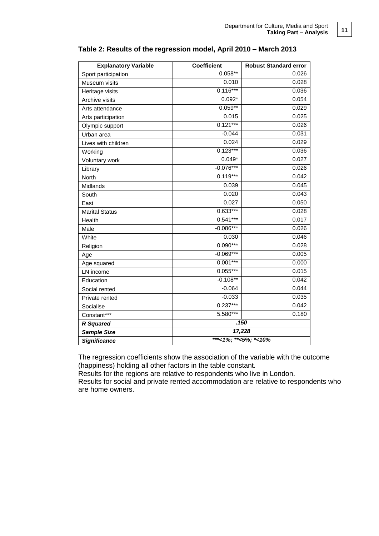| <b>Explanatory Variable</b> | <b>Coefficient</b>   | <b>Robust Standard error</b> |
|-----------------------------|----------------------|------------------------------|
| Sport participation         | $0.058***$           | 0.026                        |
| Museum visits               | 0.010                | 0.028                        |
| Heritage visits             | $0.116***$           | 0.036                        |
| Archive visits              | $0.092*$             | 0.054                        |
| Arts attendance             | $0.059**$            | 0.029                        |
| Arts participation          | 0.015                | 0.025                        |
| Olympic support             | $0.121***$           | 0.026                        |
| Urban area                  | $-0.044$             | 0.031                        |
| Lives with children         | 0.024                | 0.029                        |
| Working                     | $0.123***$           | 0.036                        |
| Voluntary work              | $0.049*$             | 0.027                        |
| Library                     | $-0.076***$          | 0.026                        |
| North                       | $0.119***$           | 0.042                        |
| Midlands                    | 0.039                | 0.045                        |
| South                       | 0.020                | 0.043                        |
| East                        | 0.027                | 0.050                        |
| <b>Marital Status</b>       | $0.633***$           | 0.028                        |
| Health                      | $0.541***$           | 0.017                        |
| Male                        | $-0.086***$          | 0.026                        |
| White                       | 0.030                | 0.046                        |
| Religion                    | $0.090***$           | 0.028                        |
| Age                         | $-0.069***$          | 0.005                        |
| Age squared                 | $0.001***$           | 0.000                        |
| LN income                   | $0.055***$           | 0.015                        |
| Education                   | $-0.108**$           | 0.042                        |
| Social rented               | $-0.064$             | 0.044                        |
| Private rented              | $-0.033$             | 0.035                        |
| Socialise                   | $0.237***$           | 0.042                        |
| Constant***                 | 5.580***             | 0.180                        |
| <b>R</b> Squared            | .150                 |                              |
| <b>Sample Size</b>          | 17,228               |                              |
| <b>Significance</b>         | ***<1%; **<5%; *<10% |                              |

#### **Table 2: Results of the regression model, April 2010 – March 2013**

The regression coefficients show the association of the variable with the outcome (happiness) holding all other factors in the table constant.

Results for the regions are relative to respondents who live in London.

Results for social and private rented accommodation are relative to respondents who are home owners.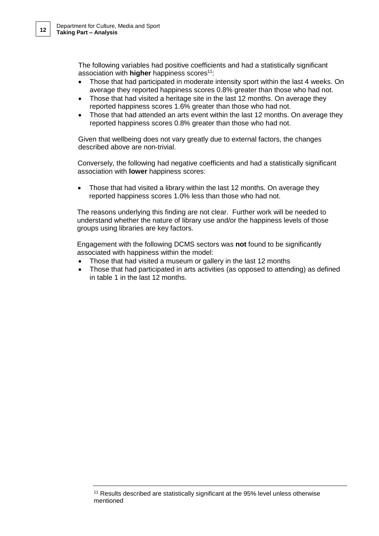The following variables had positive coefficients and had a statistically significant association with **higher** happiness scores<sup>11</sup>:

- Those that had participated in moderate intensity sport within the last 4 weeks. On average they reported happiness scores 0.8% greater than those who had not.
- Those that had visited a heritage site in the last 12 months. On average they reported happiness scores 1.6% greater than those who had not.
- Those that had attended an arts event within the last 12 months. On average they reported happiness scores 0.8% greater than those who had not.

Given that wellbeing does not vary greatly due to external factors, the changes described above are non-trivial.

Conversely, the following had negative coefficients and had a statistically significant association with **lower** happiness scores:

• Those that had visited a library within the last 12 months. On average they reported happiness scores 1.0% less than those who had not.

The reasons underlying this finding are not clear. Further work will be needed to understand whether the nature of library use and/or the happiness levels of those groups using libraries are key factors.

Engagement with the following DCMS sectors was **not** found to be significantly associated with happiness within the model:

- Those that had visited a museum or gallery in the last 12 months
- Those that had participated in arts activities (as opposed to attending) as defined in table 1 in the last 12 months.

<sup>11</sup> Results described are statistically significant at the 95% level unless otherwise mentioned